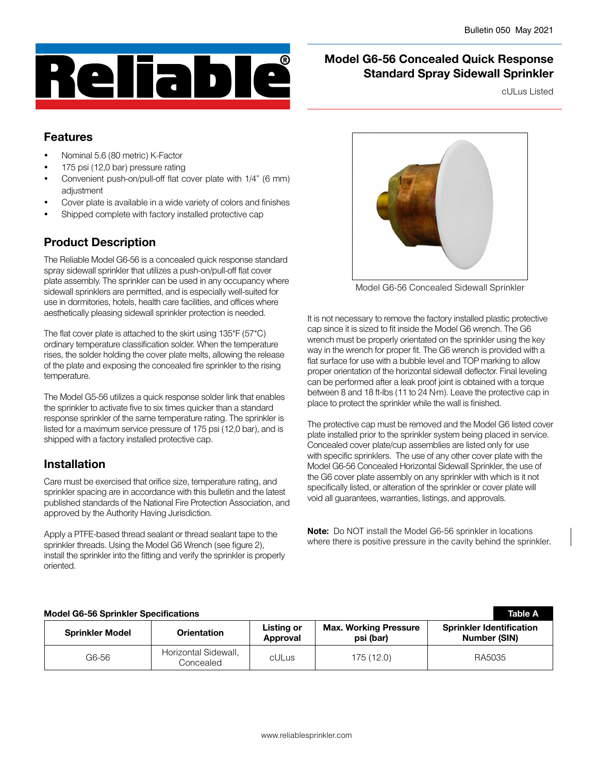

### **Model G6-56 Concealed Quick Response Standard Spray Sidewall Sprinkler**

cULus Listed

### **Features**

- Nominal 5.6 (80 metric) K-Factor
- 175 psi (12,0 bar) pressure rating
- Convenient push-on/pull-off flat cover plate with 1/4" (6 mm) adjustment
- Cover plate is available in a wide variety of colors and finishes
- Shipped complete with factory installed protective cap

# **Product Description**

The Reliable Model G6-56 is a concealed quick response standard spray sidewall sprinkler that utilizes a push-on/pull-off flat cover plate assembly. The sprinkler can be used in any occupancy where sidewall sprinklers are permitted, and is especially well-suited for use in dormitories, hotels, health care facilities, and offices where aesthetically pleasing sidewall sprinkler protection is needed.

The flat cover plate is attached to the skirt using 135\*F (57\*C) ordinary temperature classification solder. When the temperature rises, the solder holding the cover plate melts, allowing the release of the plate and exposing the concealed fire sprinkler to the rising temperature.

The Model G5-56 utilizes a quick response solder link that enables the sprinkler to activate five to six times quicker than a standard response sprinkler of the same temperature rating. The sprinkler is listed for a maximum service pressure of 175 psi (12,0 bar), and is shipped with a factory installed protective cap.

## **Installation**

Care must be exercised that orifice size, temperature rating, and sprinkler spacing are in accordance with this bulletin and the latest published standards of the National Fire Protection Association, and approved by the Authority Having Jurisdiction.

Apply a PTFE-based thread sealant or thread sealant tape to the sprinkler threads. Using the Model G6 Wrench (see figure 2), install the sprinkler into the fitting and verify the sprinkler is properly oriented.



Model G6-56 Concealed Sidewall Sprinkler

It is not necessary to remove the factory installed plastic protective cap since it is sized to fit inside the Model G6 wrench. The G6 wrench must be properly orientated on the sprinkler using the key way in the wrench for proper fit. The G6 wrench is provided with a flat surface for use with a bubble level and TOP marking to allow proper orientation of the horizontal sidewall deflector. Final leveling can be performed after a leak proof joint is obtained with a torque between 8 and 18 ft-lbs (11 to 24 N.m). Leave the protective cap in place to protect the sprinkler while the wall is finished.

The protective cap must be removed and the Model G6 listed cover plate installed prior to the sprinkler system being placed in service. Concealed cover plate/cup assemblies are listed only for use with specific sprinklers. The use of any other cover plate with the Model G6-56 Concealed Horizontal Sidewall Sprinkler, the use of the G6 cover plate assembly on any sprinkler with which is it not specifically listed, or alteration of the sprinkler or cover plate will void all guarantees, warranties, listings, and approvals.

**Note:** Do NOT install the Model G6-56 sprinkler in locations where there is positive pressure in the cavity behind the sprinkler.

|                        | <b>Table A</b><br><b>Model G6-56 Sprinkler Specifications</b> |                        |                                           |                                                 |  |
|------------------------|---------------------------------------------------------------|------------------------|-------------------------------------------|-------------------------------------------------|--|
| <b>Sprinkler Model</b> | <b>Orientation</b>                                            | Listing or<br>Approval | <b>Max. Working Pressure</b><br>psi (bar) | <b>Sprinkler Identification</b><br>Number (SIN) |  |
| G6-56                  | Horizontal Sidewall,<br>Concealed                             | cULus                  | 175 (12.0)                                | RA5035                                          |  |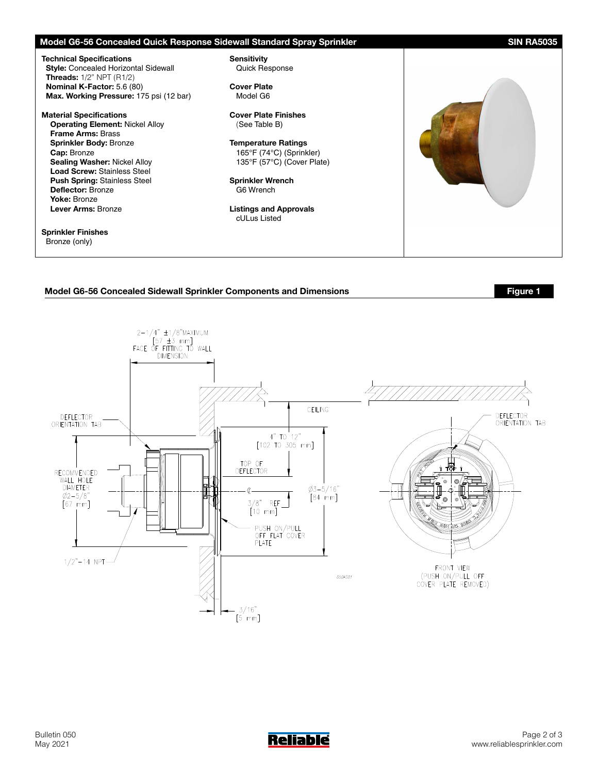